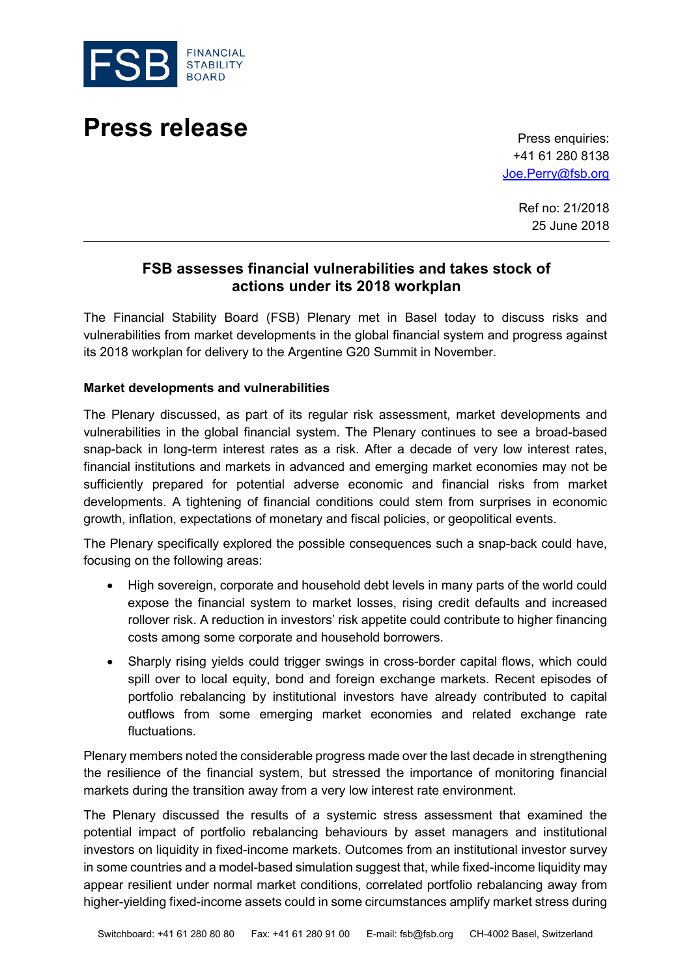

# **Press release** Press enquiries:

+41 61 280 8138 [Joe.Perry@fsb.org](mailto:Joe.Perry@fsb.org)

> Ref no: 21/2018 25 June 2018

# **FSB assesses financial vulnerabilities and takes stock of actions under its 2018 workplan**

The Financial Stability Board (FSB) Plenary met in Basel today to discuss risks and vulnerabilities from market developments in the global financial system and progress against its 2018 workplan for delivery to the Argentine G20 Summit in November.

# **Market developments and vulnerabilities**

The Plenary discussed, as part of its regular risk assessment, market developments and vulnerabilities in the global financial system. The Plenary continues to see a broad-based snap-back in long-term interest rates as a risk. After a decade of very low interest rates, financial institutions and markets in advanced and emerging market economies may not be sufficiently prepared for potential adverse economic and financial risks from market developments. A tightening of financial conditions could stem from surprises in economic growth, inflation, expectations of monetary and fiscal policies, or geopolitical events.

The Plenary specifically explored the possible consequences such a snap-back could have, focusing on the following areas:

- High sovereign, corporate and household debt levels in many parts of the world could expose the financial system to market losses, rising credit defaults and increased rollover risk. A reduction in investors' risk appetite could contribute to higher financing costs among some corporate and household borrowers.
- Sharply rising yields could trigger swings in cross-border capital flows, which could spill over to local equity, bond and foreign exchange markets. Recent episodes of portfolio rebalancing by institutional investors have already contributed to capital outflows from some emerging market economies and related exchange rate fluctuations.

Plenary members noted the considerable progress made over the last decade in strengthening the resilience of the financial system, but stressed the importance of monitoring financial markets during the transition away from a very low interest rate environment.

The Plenary discussed the results of a systemic stress assessment that examined the potential impact of portfolio rebalancing behaviours by asset managers and institutional investors on liquidity in fixed-income markets. Outcomes from an institutional investor survey in some countries and a model-based simulation suggest that, while fixed-income liquidity may appear resilient under normal market conditions, correlated portfolio rebalancing away from higher-yielding fixed-income assets could in some circumstances amplify market stress during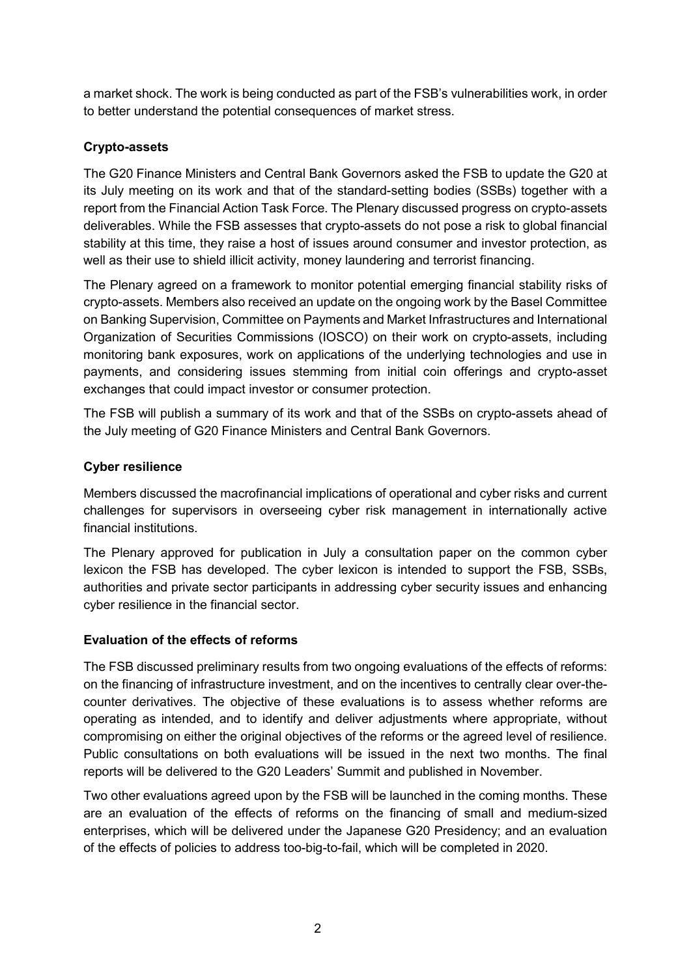a market shock. The work is being conducted as part of the FSB's vulnerabilities work, in order to better understand the potential consequences of market stress.

# **Crypto-assets**

The G20 Finance Ministers and Central Bank Governors asked the FSB to update the G20 at its July meeting on its work and that of the standard-setting bodies (SSBs) together with a report from the Financial Action Task Force. The Plenary discussed progress on crypto-assets deliverables. While the FSB assesses that crypto-assets do not pose a risk to global financial stability at this time, they raise a host of issues around consumer and investor protection, as well as their use to shield illicit activity, money laundering and terrorist financing.

The Plenary agreed on a framework to monitor potential emerging financial stability risks of crypto-assets. Members also received an update on the ongoing work by the Basel Committee on Banking Supervision, Committee on Payments and Market Infrastructures and International Organization of Securities Commissions (IOSCO) on their work on crypto-assets, including monitoring bank exposures, work on applications of the underlying technologies and use in payments, and considering issues stemming from initial coin offerings and crypto-asset exchanges that could impact investor or consumer protection.

The FSB will publish a summary of its work and that of the SSBs on crypto-assets ahead of the July meeting of G20 Finance Ministers and Central Bank Governors.

# **Cyber resilience**

Members discussed the macrofinancial implications of operational and cyber risks and current challenges for supervisors in overseeing cyber risk management in internationally active financial institutions.

The Plenary approved for publication in July a consultation paper on the common cyber lexicon the FSB has developed. The cyber lexicon is intended to support the FSB, SSBs, authorities and private sector participants in addressing cyber security issues and enhancing cyber resilience in the financial sector.

# **Evaluation of the effects of reforms**

The FSB discussed preliminary results from two ongoing evaluations of the effects of reforms: on the financing of infrastructure investment, and on the incentives to centrally clear over-thecounter derivatives. The objective of these evaluations is to assess whether reforms are operating as intended, and to identify and deliver adjustments where appropriate, without compromising on either the original objectives of the reforms or the agreed level of resilience. Public consultations on both evaluations will be issued in the next two months. The final reports will be delivered to the G20 Leaders' Summit and published in November.

Two other evaluations agreed upon by the FSB will be launched in the coming months. These are an evaluation of the effects of reforms on the financing of small and medium-sized enterprises, which will be delivered under the Japanese G20 Presidency; and an evaluation of the effects of policies to address too-big-to-fail, which will be completed in 2020.